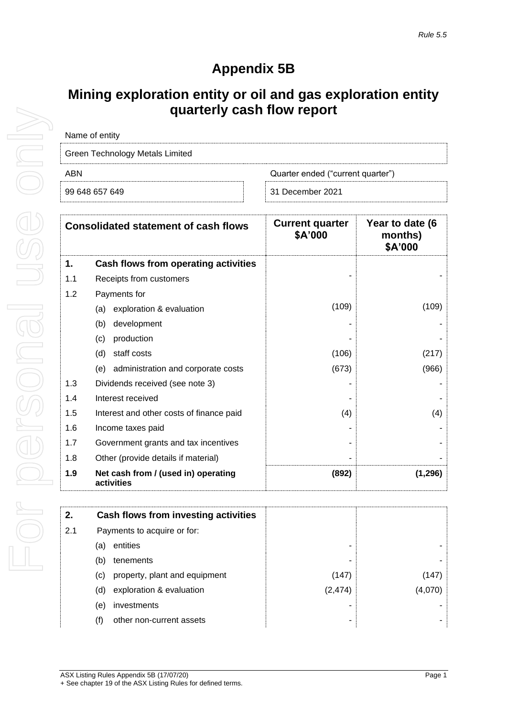## **Appendix 5B**

## **Mining exploration entity or oil and gas exploration entity quarterly cash flow report**

| Name of entity                  |                                   |  |  |
|---------------------------------|-----------------------------------|--|--|
| Green Technology Metals Limited |                                   |  |  |
| ABN                             | Quarter ended ("current quarter") |  |  |
| 99 648 657 649                  | 31 December 2021                  |  |  |

| <b>Consolidated statement of cash flows</b> |                                                   | <b>Current quarter</b><br>\$A'000 | Year to date (6<br>months)<br>\$A'000 |
|---------------------------------------------|---------------------------------------------------|-----------------------------------|---------------------------------------|
| 1.                                          | Cash flows from operating activities              |                                   |                                       |
| 1.1                                         | Receipts from customers                           |                                   |                                       |
| 1.2                                         | Payments for                                      |                                   |                                       |
|                                             | exploration & evaluation<br>(a)                   | (109)                             | (109)                                 |
|                                             | development<br>(b)                                |                                   |                                       |
|                                             | (c)<br>production                                 |                                   |                                       |
|                                             | staff costs<br>(d)                                | (106)                             | (217)                                 |
|                                             | administration and corporate costs<br>(e)         | (673)                             | (966)                                 |
| 1.3                                         | Dividends received (see note 3)                   |                                   |                                       |
| 1.4                                         | Interest received                                 |                                   |                                       |
| 1.5                                         | Interest and other costs of finance paid          | (4)                               | (4)                                   |
| 1.6                                         | Income taxes paid                                 |                                   |                                       |
| 1.7                                         | Government grants and tax incentives              |                                   |                                       |
| 1.8                                         | Other (provide details if material)               |                                   |                                       |
| 1.9                                         | Net cash from / (used in) operating<br>activities | (892)                             | (1, 296)                              |

| 2.  | Cash flows from investing activities |          |        |
|-----|--------------------------------------|----------|--------|
| 2.1 | Payments to acquire or for:          |          |        |
|     | entities<br>(a)                      |          |        |
|     | (b)<br>tenements                     |          |        |
|     | property, plant and equipment<br>(C) | (147)    | (147)  |
|     | exploration & evaluation<br>(d)      | (2, 474) | (4.070 |
|     | investments<br>(e)                   |          |        |
|     | other non-current assets<br>(f)      |          |        |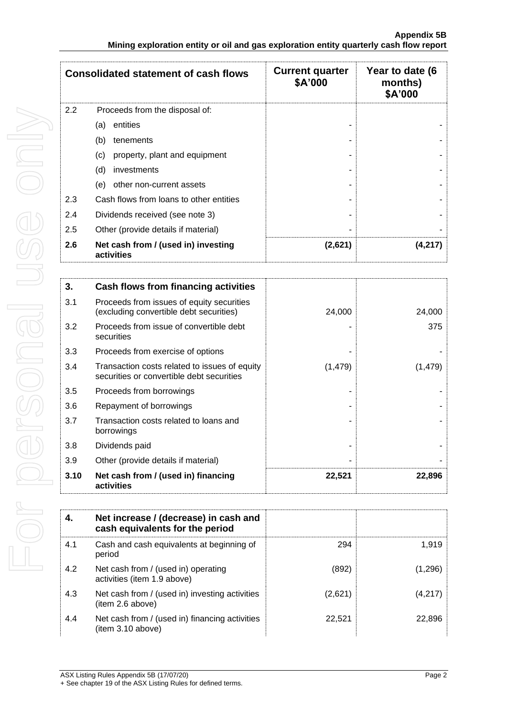| <b>Consolidated statement of cash flows</b> |                                                   | <b>Current quarter</b><br>\$A'000 | Year to date (6<br>months)<br>\$A'000 |
|---------------------------------------------|---------------------------------------------------|-----------------------------------|---------------------------------------|
| 2.2                                         | Proceeds from the disposal of:                    |                                   |                                       |
|                                             | entities<br>(a)                                   |                                   |                                       |
|                                             | (b)<br>tenements                                  |                                   |                                       |
|                                             | (c)<br>property, plant and equipment              |                                   |                                       |
|                                             | (d)<br>investments                                |                                   |                                       |
|                                             | (e)<br>other non-current assets                   |                                   |                                       |
| 2.3                                         | Cash flows from loans to other entities           |                                   |                                       |
| 2.4                                         | Dividends received (see note 3)                   |                                   |                                       |
| 2.5                                         | Other (provide details if material)               |                                   |                                       |
| 2.6                                         | Net cash from / (used in) investing<br>activities | (2,621)                           | (4,217                                |

| 3.   | Cash flows from financing activities                                                       |          |          |
|------|--------------------------------------------------------------------------------------------|----------|----------|
| 3.1  | Proceeds from issues of equity securities<br>(excluding convertible debt securities)       | 24,000   | 24,000   |
| 3.2  | Proceeds from issue of convertible debt<br>securities                                      |          | 375      |
| 3.3  | Proceeds from exercise of options                                                          |          |          |
| 3.4  | Transaction costs related to issues of equity<br>securities or convertible debt securities | (1, 479) | (1, 479) |
| 3.5  | Proceeds from borrowings                                                                   |          |          |
| 3.6  | Repayment of borrowings                                                                    |          |          |
| 3.7  | Transaction costs related to loans and<br>borrowings                                       |          |          |
| 3.8  | Dividends paid                                                                             |          |          |
| 3.9  | Other (provide details if material)                                                        |          |          |
| 3.10 | Net cash from / (used in) financing<br>activities                                          | 22,521   | 22,896   |

|     | Net increase / (decrease) in cash and<br>cash equivalents for the period |         |         |
|-----|--------------------------------------------------------------------------|---------|---------|
| 4.1 | Cash and cash equivalents at beginning of<br>period                      | 294     | 1.919   |
| 4.2 | Net cash from / (used in) operating<br>activities (item 1.9 above)       | (892)   | (1,296) |
| 4.3 | Net cash from / (used in) investing activities<br>(item 2.6 above)       | (2,621) | (4,217) |
| 4.4 | Net cash from / (used in) financing activities<br>(item 3.10 above)      | 22.521  | 22,896  |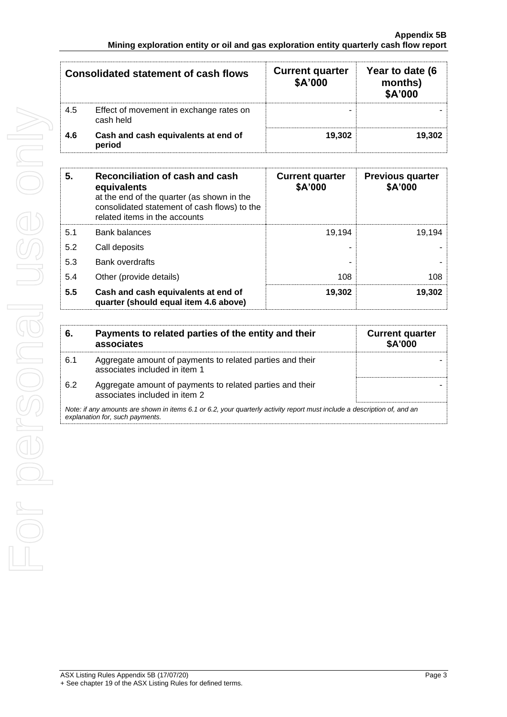| <b>Consolidated statement of cash flows</b> |                                                      | <b>Current quarter</b><br>\$A'000 | Year to date (6<br>months)<br>\$A'000 |
|---------------------------------------------|------------------------------------------------------|-----------------------------------|---------------------------------------|
| 4.5                                         | Effect of movement in exchange rates on<br>cash held | -                                 |                                       |
| 4.6                                         | Cash and cash equivalents at end of<br>period        | 19.302                            | 19.302                                |

| Reconciliation of cash and cash<br>5.<br>equivalents<br>at the end of the quarter (as shown in the<br>consolidated statement of cash flows) to the<br>related items in the accounts |                                                                              | <b>Current quarter</b><br>\$A'000 | <b>Previous quarter</b><br>\$A'000 |
|-------------------------------------------------------------------------------------------------------------------------------------------------------------------------------------|------------------------------------------------------------------------------|-----------------------------------|------------------------------------|
| 5.1                                                                                                                                                                                 | Bank balances                                                                | 19.194                            | 19.194                             |
| 5.2                                                                                                                                                                                 | Call deposits                                                                |                                   |                                    |
| 5.3                                                                                                                                                                                 | Bank overdrafts                                                              |                                   |                                    |
| 5.4                                                                                                                                                                                 | Other (provide details)                                                      | 108                               | 108                                |
| 5.5                                                                                                                                                                                 | Cash and cash equivalents at end of<br>quarter (should equal item 4.6 above) | 19,302                            | 19,302                             |

| 6.                                                                                                                                                          | Payments to related parties of the entity and their<br>associates                          | <b>Current quarter</b><br><b>\$A'000</b> |
|-------------------------------------------------------------------------------------------------------------------------------------------------------------|--------------------------------------------------------------------------------------------|------------------------------------------|
| 6.1                                                                                                                                                         | Aggregate amount of payments to related parties and their<br>associates included in item 1 |                                          |
| 6.2                                                                                                                                                         | Aggregate amount of payments to related parties and their<br>associates included in item 2 |                                          |
| Note: if any amounts are shown in items 6.1 or 6.2, your quarterly activity report must include a description of, and an<br>explanation for, such payments. |                                                                                            |                                          |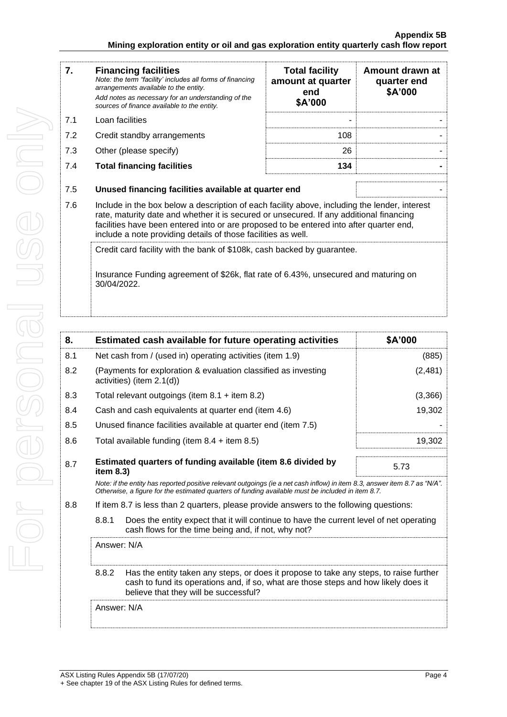| 7.  | <b>Financing facilities</b><br>Note: the term "facility' includes all forms of financing<br>arrangements available to the entity.<br>Add notes as necessary for an understanding of the<br>sources of finance available to the entity.                                                                                                               | <b>Total facility</b><br>amount at quarter<br>end<br>\$A'000 | Amount drawn at<br>quarter end<br>\$A'000 |
|-----|------------------------------------------------------------------------------------------------------------------------------------------------------------------------------------------------------------------------------------------------------------------------------------------------------------------------------------------------------|--------------------------------------------------------------|-------------------------------------------|
| 7.1 | Loan facilities                                                                                                                                                                                                                                                                                                                                      |                                                              |                                           |
| 7.2 | Credit standby arrangements                                                                                                                                                                                                                                                                                                                          | 108                                                          |                                           |
| 7.3 | Other (please specify)                                                                                                                                                                                                                                                                                                                               | 26                                                           |                                           |
| 7.4 | <b>Total financing facilities</b>                                                                                                                                                                                                                                                                                                                    | 134                                                          |                                           |
| 7.5 | Unused financing facilities available at quarter end                                                                                                                                                                                                                                                                                                 |                                                              |                                           |
| 7.6 | Include in the box below a description of each facility above, including the lender, interest<br>rate, maturity date and whether it is secured or unsecured. If any additional financing<br>facilities have been entered into or are proposed to be entered into after quarter end,<br>include a note providing details of those facilities as well. |                                                              |                                           |
|     | Credit card facility with the bank of \$108k, cash backed by guarantee.<br>Insurance Funding agreement of \$26k, flat rate of 6.43%, unsecured and maturing on<br>30/04/2022.                                                                                                                                                                        |                                                              |                                           |

|                                                                                                                                                                                                                                                |  | \$A'000                                                                                                                                                                                                                                                                                                                                                                                                                                                                                                                                                                                                                                                                                                                                                                                                                            |
|------------------------------------------------------------------------------------------------------------------------------------------------------------------------------------------------------------------------------------------------|--|------------------------------------------------------------------------------------------------------------------------------------------------------------------------------------------------------------------------------------------------------------------------------------------------------------------------------------------------------------------------------------------------------------------------------------------------------------------------------------------------------------------------------------------------------------------------------------------------------------------------------------------------------------------------------------------------------------------------------------------------------------------------------------------------------------------------------------|
| Net cash from / (used in) operating activities (item 1.9)                                                                                                                                                                                      |  | (885)                                                                                                                                                                                                                                                                                                                                                                                                                                                                                                                                                                                                                                                                                                                                                                                                                              |
|                                                                                                                                                                                                                                                |  | (2, 481)                                                                                                                                                                                                                                                                                                                                                                                                                                                                                                                                                                                                                                                                                                                                                                                                                           |
|                                                                                                                                                                                                                                                |  | (3,366)                                                                                                                                                                                                                                                                                                                                                                                                                                                                                                                                                                                                                                                                                                                                                                                                                            |
|                                                                                                                                                                                                                                                |  | 19,302                                                                                                                                                                                                                                                                                                                                                                                                                                                                                                                                                                                                                                                                                                                                                                                                                             |
|                                                                                                                                                                                                                                                |  |                                                                                                                                                                                                                                                                                                                                                                                                                                                                                                                                                                                                                                                                                                                                                                                                                                    |
|                                                                                                                                                                                                                                                |  | 19,302                                                                                                                                                                                                                                                                                                                                                                                                                                                                                                                                                                                                                                                                                                                                                                                                                             |
| Estimated quarters of funding available (item 8.6 divided by<br>8.7                                                                                                                                                                            |  | 5.73                                                                                                                                                                                                                                                                                                                                                                                                                                                                                                                                                                                                                                                                                                                                                                                                                               |
|                                                                                                                                                                                                                                                |  |                                                                                                                                                                                                                                                                                                                                                                                                                                                                                                                                                                                                                                                                                                                                                                                                                                    |
|                                                                                                                                                                                                                                                |  |                                                                                                                                                                                                                                                                                                                                                                                                                                                                                                                                                                                                                                                                                                                                                                                                                                    |
| 8.8.1<br>cash flows for the time being and, if not, why not?                                                                                                                                                                                   |  |                                                                                                                                                                                                                                                                                                                                                                                                                                                                                                                                                                                                                                                                                                                                                                                                                                    |
| Answer: N/A                                                                                                                                                                                                                                    |  |                                                                                                                                                                                                                                                                                                                                                                                                                                                                                                                                                                                                                                                                                                                                                                                                                                    |
| 8.8.2<br>Has the entity taken any steps, or does it propose to take any steps, to raise further<br>cash to fund its operations and, if so, what are those steps and how likely does it<br>believe that they will be successful?<br>Answer: N/A |  |                                                                                                                                                                                                                                                                                                                                                                                                                                                                                                                                                                                                                                                                                                                                                                                                                                    |
|                                                                                                                                                                                                                                                |  |                                                                                                                                                                                                                                                                                                                                                                                                                                                                                                                                                                                                                                                                                                                                                                                                                                    |
|                                                                                                                                                                                                                                                |  | Estimated cash available for future operating activities<br>(Payments for exploration & evaluation classified as investing<br>activities) (item 2.1(d))<br>Total relevant outgoings (item $8.1 +$ item $8.2$ )<br>Cash and cash equivalents at quarter end (item 4.6)<br>Unused finance facilities available at quarter end (item 7.5)<br>Total available funding (item $8.4 +$ item $8.5$ )<br>item 8.3)<br>Note: if the entity has reported positive relevant outgoings (ie a net cash inflow) in item 8.3, answer item 8.7 as "N/A".<br>Otherwise, a figure for the estimated guarters of funding available must be included in item 8.7.<br>If item 8.7 is less than 2 quarters, please provide answers to the following questions:<br>Does the entity expect that it will continue to have the current level of net operating |